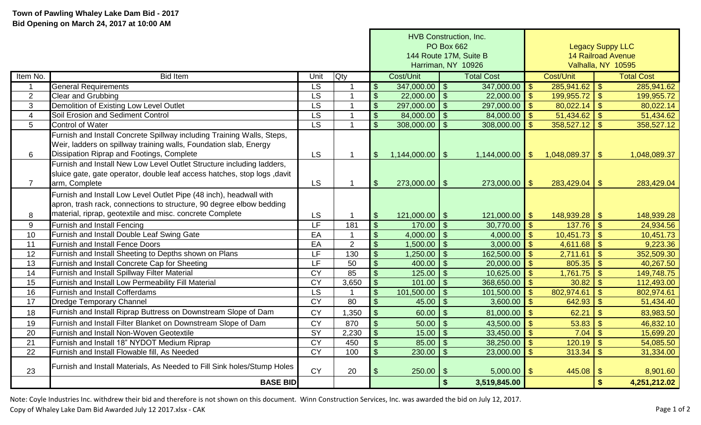|                 |                                                                           |                          |                | HVB Construction, Inc.    |                        |                                    |                         |                           |                           |                   |  |
|-----------------|---------------------------------------------------------------------------|--------------------------|----------------|---------------------------|------------------------|------------------------------------|-------------------------|---------------------------|---------------------------|-------------------|--|
|                 |                                                                           |                          |                |                           | <b>PO Box 662</b>      |                                    |                         | <b>Legacy Suppy LLC</b>   |                           |                   |  |
|                 |                                                                           |                          |                |                           | 144 Route 17M, Suite B |                                    |                         | <b>14 Railroad Avenue</b> |                           |                   |  |
|                 |                                                                           |                          |                | Harriman, NY 10926        |                        |                                    |                         | Valhalla, NY 10595        |                           |                   |  |
| Item No.        | <b>Bid Item</b>                                                           | Unit                     | <b>Qty</b>     |                           | Cost/Unit              | <b>Total Cost</b>                  |                         | Cost/Unit                 |                           | <b>Total Cost</b> |  |
| -1              | <b>General Requirements</b>                                               | $\overline{\text{LS}}$   | -1             | $\mathcal{L}$             | $347,000.00$ \ \$      | $347,000.00$ \$                    |                         | 285,941.62                | $\mathfrak{L}$            | 285,941.62        |  |
| $\overline{2}$  | <b>Clear and Grubbing</b>                                                 | <b>LS</b>                | 1              | $\sqrt[6]{\frac{1}{2}}$   | $22,000.00$ \ \$       | $22,000.00$ \$                     |                         | 199,955.72                | $\mathbf{\$}$             | 199,955.72        |  |
| 3               | Demolition of Existing Low Level Outlet                                   | $\overline{\mathsf{LS}}$ | 1              | $\mathbb{S}$              | $297,000.00$ \ \$      | 297,000.00                         | $\mathcal{S}$           | 80,022.14                 | $\mathbf{\hat{s}}$        | 80,022.14         |  |
| $\overline{4}$  | Soil Erosion and Sediment Control                                         | $\overline{\text{LS}}$   | 1              | $\mathbb{S}$              | $84,000.00$ \$         | 84,000.00                          | $\mathcal{S}$           | 51,434.62                 | $\mathsf{\$}$             | 51,434.62         |  |
| 5               | <b>Control of Water</b>                                                   | $\overline{\text{LS}}$   | $\overline{1}$ | $\mathfrak{L}$            | $308,000.00$ \$        | 308,000.00                         | $\mathbb{S}$            | 358,527.12                | $\mathfrak{S}$            | 358,527.12        |  |
|                 | Furnish and Install Concrete Spillway including Training Walls, Steps,    |                          |                |                           |                        |                                    |                         |                           |                           |                   |  |
|                 | Weir, ladders on spillway training walls, Foundation slab, Energy         |                          |                |                           |                        |                                    |                         |                           |                           |                   |  |
| $6\phantom{1}$  | Dissipation Riprap and Footings, Complete                                 | <b>LS</b>                | $\mathbf{1}$   | $\mathfrak{S}$            | $1,144,000.00$ \ \$    | $1,144,000.00$ \$                  |                         | 1,048,089.37              | $\vert$ \$                | 1,048,089.37      |  |
|                 | Furnish and Install New Low Level Outlet Structure including ladders,     |                          |                |                           |                        |                                    |                         |                           |                           |                   |  |
|                 | sluice gate, gate operator, double leaf access hatches, stop logs , davit |                          |                |                           |                        |                                    |                         |                           |                           |                   |  |
| $\overline{7}$  | arm, Complete                                                             | <b>LS</b>                | $\mathbf{1}$   | $\mathfrak{S}$            | $273,000.00$ \ \$      | $273,000.00$ \$                    |                         | 283,429.04                | $\vert \mathsf{s} \vert$  | 283,429.04        |  |
|                 | Furnish and Install Low Level Outlet Pipe (48 inch), headwall with        |                          |                |                           |                        |                                    |                         |                           |                           |                   |  |
|                 | apron, trash rack, connections to structure, 90 degree elbow bedding      |                          |                |                           |                        |                                    |                         |                           |                           |                   |  |
| 8               | material, riprap, geotextile and misc. concrete Complete                  | <b>LS</b>                |                | $\mathcal{S}$             | $121,000.00$   \$      | 121,000.00 $\sqrt{\$}$             |                         |                           |                           | 148,939.28        |  |
| 9               | <b>Furnish and Install Fencing</b>                                        | LF                       | 181            | $\boldsymbol{\mathsf{S}}$ | $170.00$   \$          | 30,770.00                          | $\mathcal{S}$           | 137.76                    | $\boldsymbol{\mathsf{S}}$ | 24,934.56         |  |
| 10              | <b>Furnish and Install Double Leaf Swing Gate</b>                         | EA                       | $\mathbf 1$    | $\mathcal{S}$             | $4,000.00$ \ \$        | 4,000.00                           | $\mathcal{S}$           | 10,451.73                 | $\sqrt{2}$                | 10,451.73         |  |
| 11              | <b>Furnish and Install Fence Doors</b>                                    | EA                       | $\overline{2}$ | $\mathfrak{L}$            | $1,500.00$   \$        | 3,000.00                           | $\mathfrak{S}$          | 4,611.68                  | $\sqrt{2}$                | 9,223.36          |  |
| $\overline{12}$ | Furnish and Install Sheeting to Depths shown on Plans                     | LF                       | 130            | \$                        | 1,250.00               | $\mathcal{S}$<br>162,500.00        | $\mathbf{\$}$           | 2,711.61                  | $\mathcal{S}$             | 352,509.30        |  |
| $\overline{13}$ | Furnish and Install Concrete Cap for Sheeting                             | LF                       | 50             | \$                        | $400.00$   \$          | 20,000.00                          | $\mathfrak{S}$          | 805.35                    | $\mathcal{S}$             | 40,267.50         |  |
| $\overline{14}$ | Furnish and Install Spillway Filter Material                              | $\overline{CY}$          | 85             |                           | $125.00$   \$          | 10,625.00                          | $\mathfrak{S}$          | 1,761.75                  | $\mathcal{S}$             | 149,748.75        |  |
| $\overline{15}$ | Furnish and Install Low Permeability Fill Material                        | CY                       | 3,650          | $\mathcal{S}$             | $101.00$   \$          | 368,650.00                         | $\mathcal{L}$           | 30.82                     | $\mathsf{\$}$             | 112,493.00        |  |
| 16              | <b>Furnish and Install Cofferdams</b>                                     | LS.                      | 1              | $\mathcal{S}$             | $101,500.00$   \$      | 101,500.00                         | $\mathcal{S}$           | 802,974.61                | $\mathfrak{S}$            | 802,974.61        |  |
| 17              | <b>Dredge Temporary Channel</b>                                           | <b>CY</b>                | 80             | $\mathcal{S}$             | 45.00                  | $\mathcal{S}$<br>3,600.00          | $\mathfrak{S}$          | 642.93                    | $\mathcal{S}$             | 51,434.40         |  |
| 18              | Furnish and Install Riprap Buttress on Downstream Slope of Dam            | <b>CY</b>                | 1,350          | $\mathbb{S}$              | 60.00                  | $\mathcal{S}$<br>81,000.00         | $\mathcal{S}$           | 62.21                     | $\mathsf{\$}$             | 83,983.50         |  |
| 19              | Furnish and Install Filter Blanket on Downstream Slope of Dam             | <b>CY</b>                | 870            | $\mathfrak{S}$            | $50.00$ \ \$           | 43,500.00                          | $\mathbf{\hat{S}}$      | 53.83                     | $\mathsf{\$}$             | 46,832.10         |  |
| 20              | Furnish and Install Non-Woven Geotextile                                  | $\overline{SY}$          | 2,230          | $\mathfrak{S}$            |                        | 33,450.00                          | $\mathcal{S}$           | 7.04                      | $\mathsf{\$}$             | 15,699.20         |  |
| 21              | Furnish and Install 18" NYDOT Medium Riprap                               | $\overline{CY}$          | 450            | $\mathfrak{S}$            | $85.00$ \ \ \$         | 38,250.00                          | $\sqrt{2}$              | 120.19                    | $\mathfrak{S}$            | 54,085.50         |  |
| $\overline{22}$ | Furnish and Install Flowable fill, As Needed                              | CY                       | 100            | $\mathcal{S}$             | $230.00$ \ \$          | 23,000.00                          | $\overline{\mathbf{s}}$ | 313.34                    | $\overline{\mathbf{s}}$   | 31,334.00         |  |
|                 | Furnish and Install Materials, As Needed to Fill Sink holes/Stump Holes   |                          |                |                           |                        |                                    |                         |                           |                           |                   |  |
| 23              |                                                                           | <b>CY</b>                | 20             |                           | 250.00                 | $5,000.00$ \$<br>$\mathfrak{F}$    |                         | 445.08                    | $\sqrt[6]{3}$             | 8,901.60          |  |
|                 | <b>BASE BID</b>                                                           |                          |                |                           |                        | $\mathbf{\hat{s}}$<br>3,519,845.00 |                         |                           | \$                        | 4,251,212.02      |  |

Note: Coyle Industries Inc. withdrew their bid and therefore is not shown on this document. Winn Construction Services, Inc. was awarded the bid on July 12, 2017. Copy of Whaley Lake Dam Bid Awarded July 12 2017.xlsx - CAK Page 1 of 2